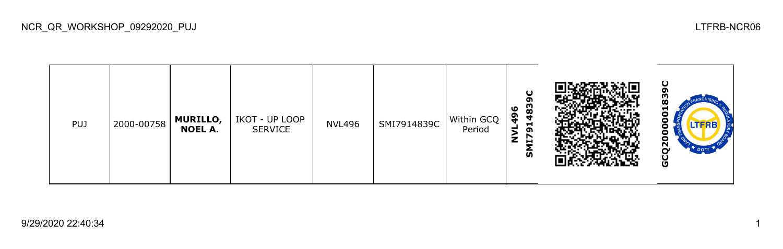| <b>PUJ</b> | 2000-00758 | <b>MURILLO,</b><br><b>NOEL A.</b> | IKOT - UP LOOP<br>SERVICE | <b>NVL496</b> | SMI7914839C | Within GCQ<br>Period | σ<br>စ္ထ<br>0<br>፵<br>₹<br>−<br>o<br>r<br>브<br>ັທ |  | $\mathbf C$<br>œ<br>−<br>с<br>ū<br>DOTI<br>O |
|------------|------------|-----------------------------------|---------------------------|---------------|-------------|----------------------|---------------------------------------------------|--|----------------------------------------------|
|------------|------------|-----------------------------------|---------------------------|---------------|-------------|----------------------|---------------------------------------------------|--|----------------------------------------------|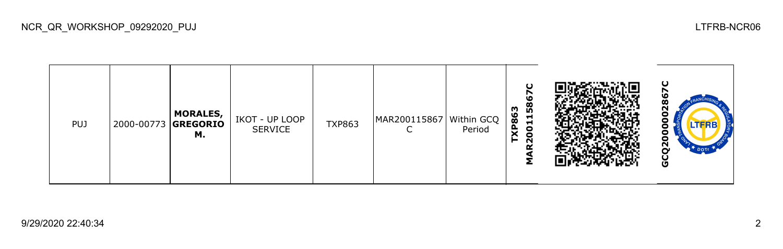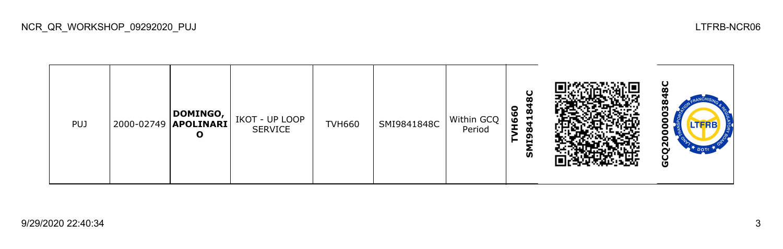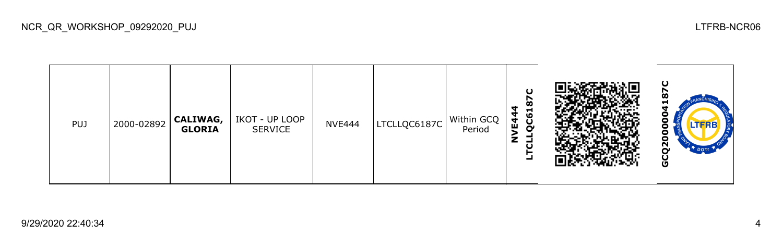| <b>PUJ</b> | 2000-02892 | <b>CALIWAG,</b><br><b>GLORIA</b> | IKOT - UP LOOP<br><b>SERVICE</b> | <b>NVE444</b> | LTCLLQC6187C | Within GCQ<br>Period | O<br>œ<br>ᆋ<br>ဖ<br>교<br>ပ<br>o<br>- |  | ပ<br>മ<br>o<br>o<br>o<br>o<br>o<br>ဥ<br>DOTE -<br>ပ<br>O |
|------------|------------|----------------------------------|----------------------------------|---------------|--------------|----------------------|--------------------------------------|--|----------------------------------------------------------|
|------------|------------|----------------------------------|----------------------------------|---------------|--------------|----------------------|--------------------------------------|--|----------------------------------------------------------|

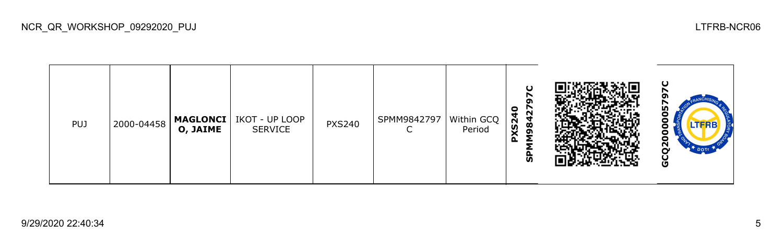| <b>PUJ</b> | 2000-04458 | O, JAIME | MAGLONCI   IKOT - UP LOOP<br><b>SERVICE</b> | <b>PXS240</b> | SPMM9842797 | Within GCQ<br>Period | 0<br>N<br>S <sub>24</sub><br>₹<br>Ø<br>ຸດ<br>മ<br>o<br>ັທ |  | Ο<br>LD,<br>o<br>Θ<br>LTERE<br>o<br>с<br>c<br><u>გ</u><br>Ū<br>U |
|------------|------------|----------|---------------------------------------------|---------------|-------------|----------------------|-----------------------------------------------------------|--|------------------------------------------------------------------|
|------------|------------|----------|---------------------------------------------|---------------|-------------|----------------------|-----------------------------------------------------------|--|------------------------------------------------------------------|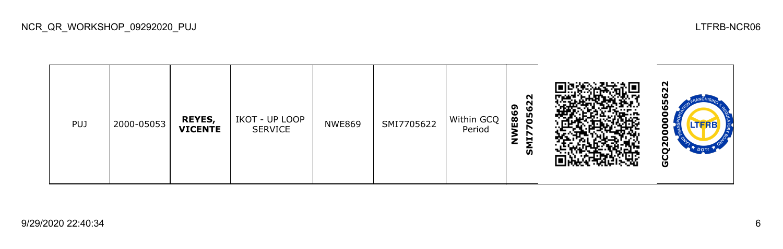| PUJ | 2000-05053 | <b>REYES,</b><br><b>VICENTE</b> | IKOT - UP LOOP<br>SERVICE | <b>NWE869</b> | SMI7705622 | Within GCQ<br>Period | N<br>0562<br>ຸດ<br>E86<br>⋧<br>רו<br>U<br>z<br><b>SG</b> |  | N<br>$\sim$<br>w<br>m<br>лькв<br>с<br>ິ<br>o |
|-----|------------|---------------------------------|---------------------------|---------------|------------|----------------------|----------------------------------------------------------|--|----------------------------------------------|
|-----|------------|---------------------------------|---------------------------|---------------|------------|----------------------|----------------------------------------------------------|--|----------------------------------------------|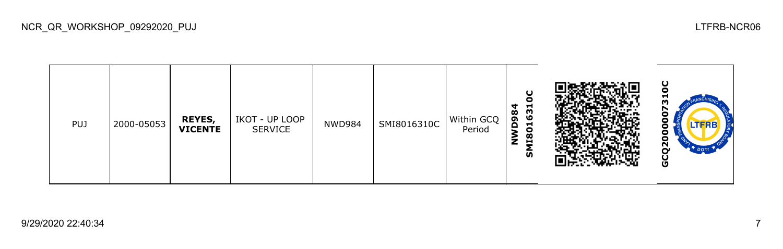| <b>PUJ</b> | 2000-05053 | <b>REYES,</b><br><b>VICENTE</b> | IKOT - UP LOOP<br>SERVICE | <b>NWD984</b> | SMI8016310C | Within GCQ<br>Period | ပ<br>о<br>631<br>Ч<br>$\infty$<br>ຶ<br>−<br>o<br>1180<br>z<br>ົທ |  | ပ<br>о<br>m<br>TERB<br>U<br><u>გ</u><br>DOTT<br>O |
|------------|------------|---------------------------------|---------------------------|---------------|-------------|----------------------|------------------------------------------------------------------|--|---------------------------------------------------|
|------------|------------|---------------------------------|---------------------------|---------------|-------------|----------------------|------------------------------------------------------------------|--|---------------------------------------------------|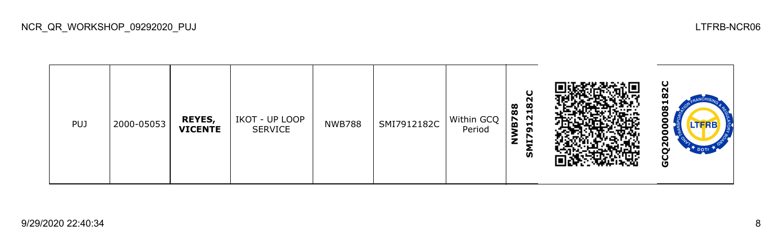| <b>PUJ</b> | 2000-05053 | REYES,<br><b>VICENTE</b> | IKOT - UP LOOP<br>SERVICE | <b>NWB788</b> | SMI7912182C | Within GCQ<br>Period | ပ<br>$\mathbf{S}$<br>88<br>$\overline{21}$<br><u>P</u><br>⊣<br>2<br>o<br>↖<br>z<br>브<br>ັທ |  | O<br>ี<br>Ħ<br>$\boldsymbol{\infty}$<br>г<br>с<br>с<br>N<br>O |
|------------|------------|--------------------------|---------------------------|---------------|-------------|----------------------|--------------------------------------------------------------------------------------------|--|---------------------------------------------------------------|
|------------|------------|--------------------------|---------------------------|---------------|-------------|----------------------|--------------------------------------------------------------------------------------------|--|---------------------------------------------------------------|

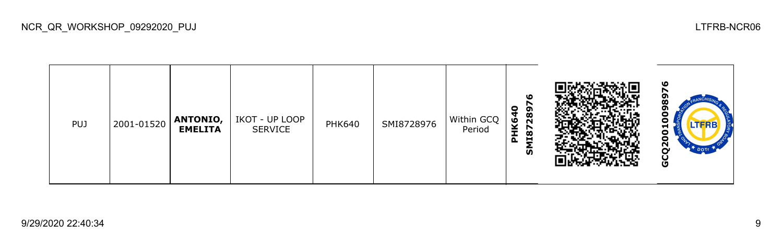| <b>PUJ</b> | 2001-01520 | <b>ANTONIO,</b><br><b>EMELITA</b> | IKOT - UP LOOP<br><b>SERVICE</b> | <b>PHK640</b> | SMI8728976 | Within GCQ<br>Period | ١O<br>0<br>289<br>Ö<br>Ÿ<br>↖<br>118<br>$\mathbf{a}$<br><b>S</b> |  | ഥ<br>œ<br>m<br>ENERB<br>o<br>o<br>$\tilde{\mathbf{z}}$<br>Ū |
|------------|------------|-----------------------------------|----------------------------------|---------------|------------|----------------------|------------------------------------------------------------------|--|-------------------------------------------------------------|
|------------|------------|-----------------------------------|----------------------------------|---------------|------------|----------------------|------------------------------------------------------------------|--|-------------------------------------------------------------|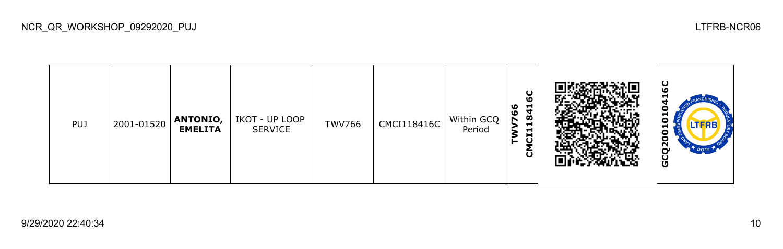| <b>PUJ</b> | 2001-01520 | <b>ANTONIO,</b><br><b>EMELITA</b> | IKOT - UP LOOP<br><b>SERVICE</b> | <b>TWV766</b> | CMCI118416C | Within GCQ<br>Period | U<br><b>LO</b><br>841<br>ಀ<br>ಀ<br>−<br>Н<br>ō<br>$\mathbf \omega$ |  | ပ<br><b>LO</b><br>⊣<br>TFRB.<br>o<br>Ν<br>DOTI<br>O |
|------------|------------|-----------------------------------|----------------------------------|---------------|-------------|----------------------|--------------------------------------------------------------------|--|-----------------------------------------------------|
|------------|------------|-----------------------------------|----------------------------------|---------------|-------------|----------------------|--------------------------------------------------------------------|--|-----------------------------------------------------|

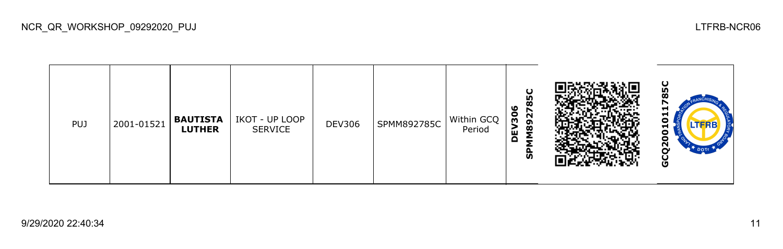| <b>PUJ</b> | 2001-01521 | <b>BAUTISTA</b><br><b>LUTHER</b> | IKOT - UP LOOP<br>SERVICE | <b>DEV306</b> | SPMM892785C | Within GCQ<br>Period | ပ္စ<br>œ<br>ಀ<br>27<br>90<br>ഐ<br>$\frac{8}{5}$<br>ш<br>o<br>င္ဟ |  | ပ<br><b>In</b><br><u>n</u><br>⊣<br>o<br>LTERE<br>−<br>o<br>с<br>Ñ.<br>o |
|------------|------------|----------------------------------|---------------------------|---------------|-------------|----------------------|------------------------------------------------------------------|--|-------------------------------------------------------------------------|
|------------|------------|----------------------------------|---------------------------|---------------|-------------|----------------------|------------------------------------------------------------------|--|-------------------------------------------------------------------------|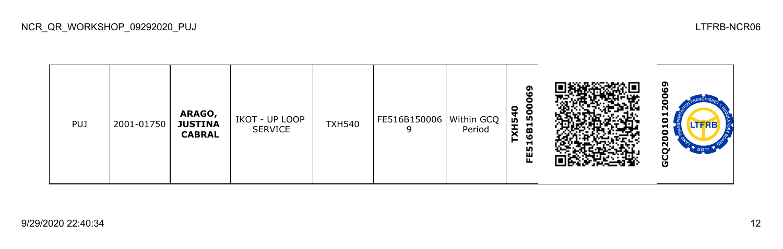



ဥ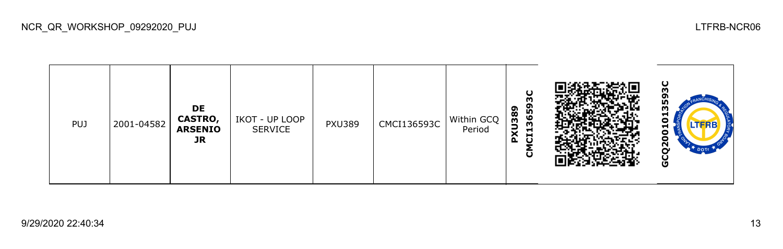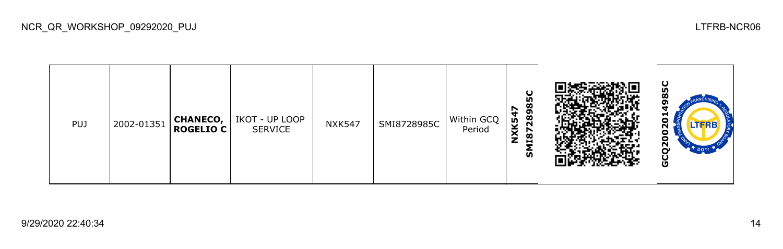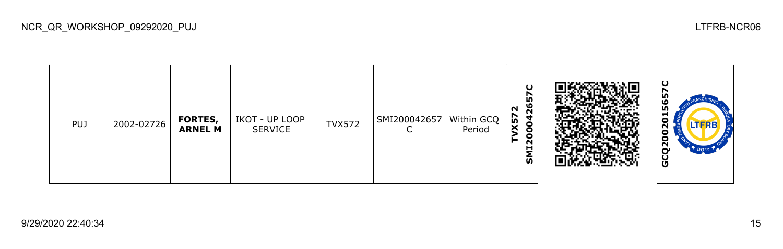| <b>PUJ</b> | 2002-02726 | FORTES,<br><b>ARNEL M</b> | IKOT - UP LOOP<br><b>SERVICE</b> | <b>TVX572</b> | $\vert$ SMI200042657 $\vert$ Within GCQ $\vert$ | Period | $\mathbf C$<br>↖<br>Ю<br>$\mathbf{S}$<br>N<br>X57<br>g<br><b>II20</b><br>►<br>ົທ |  | ပ<br>LN)<br>ᆔ<br>Ξ<br>LTERB<br>U<br>o<br>ี<br><b>DOT</b><br>O |
|------------|------------|---------------------------|----------------------------------|---------------|-------------------------------------------------|--------|----------------------------------------------------------------------------------|--|---------------------------------------------------------------|
|------------|------------|---------------------------|----------------------------------|---------------|-------------------------------------------------|--------|----------------------------------------------------------------------------------|--|---------------------------------------------------------------|

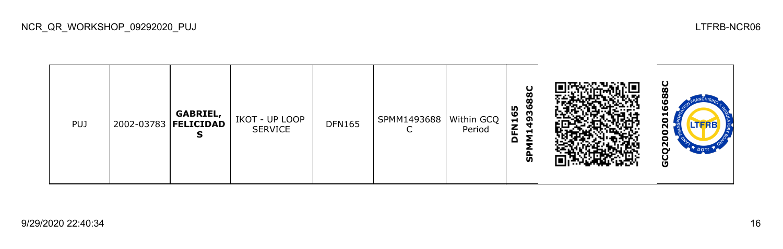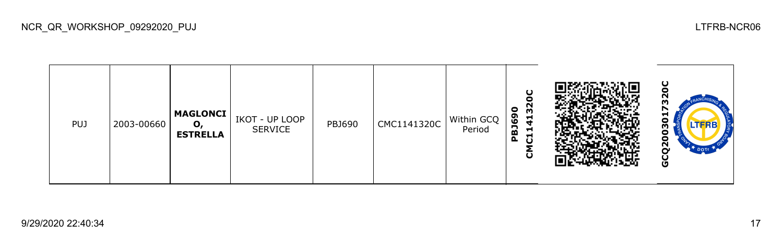

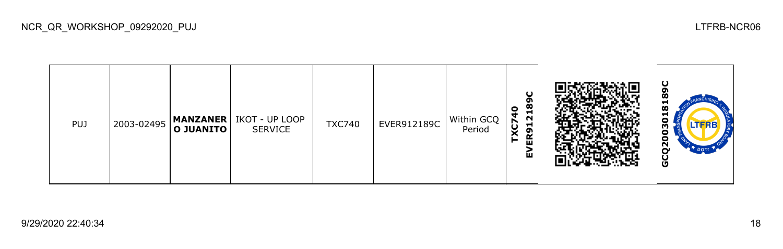| <b>PUJ</b> | 2003-02495 | <b>MANZANER</b><br>$ $ O JUANITO $ $ | IKOT - UP LOOP<br>SERVICE | <b>TXC740</b> | EVER912189C | Within GCQ<br>Period | $\mathbf C$<br>$\frac{8}{10}$<br>o<br>$\sim$<br>−<br>o<br>띥<br>íш |  | ပ<br>œ<br>π<br>œ<br>▬<br>m<br>$\mathbf{r}$<br><b>DOTT</b><br>ט |
|------------|------------|--------------------------------------|---------------------------|---------------|-------------|----------------------|-------------------------------------------------------------------|--|----------------------------------------------------------------|
|------------|------------|--------------------------------------|---------------------------|---------------|-------------|----------------------|-------------------------------------------------------------------|--|----------------------------------------------------------------|

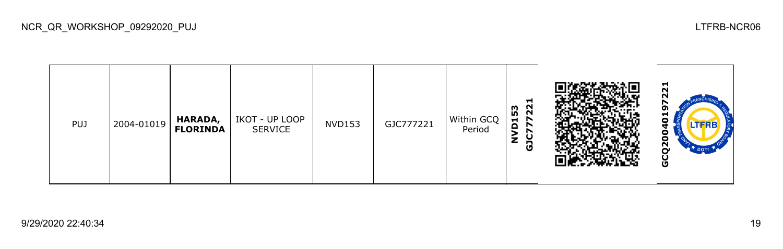| <b>PUJ</b> | 2004-01019 | <b>HARADA,</b><br><b>FLORINDA</b> | IKOT - UP LOOP<br>SERVICE | <b>NVD153</b> | GJC777221 | Within GCQ<br>Period | ᆋ<br>22<br>က္က<br>$\overline{\phantom{a}}$<br>$\blacksquare$<br>r<br>o<br>◡<br>z<br>Ĝ |  | $\overline{a}$<br>o<br>⊣<br>-<br>TFRE<br>o<br>$\tilde{\mathbf{z}}$<br>$\mathbb{R}^T$ DOTT<br>Ō |
|------------|------------|-----------------------------------|---------------------------|---------------|-----------|----------------------|---------------------------------------------------------------------------------------|--|------------------------------------------------------------------------------------------------|
|------------|------------|-----------------------------------|---------------------------|---------------|-----------|----------------------|---------------------------------------------------------------------------------------|--|------------------------------------------------------------------------------------------------|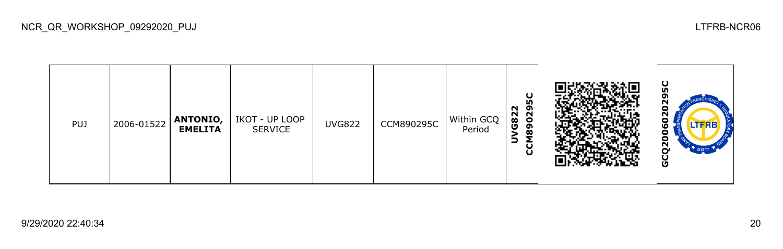| <b>PUJ</b> | 2006-01522 | ANTONIO,<br><b>EMELITA</b> | IKOT - UP LOOP<br><b>SERVICE</b> | <b>UVG822</b> | CCM890295C | Within GCQ<br>Period | ပ<br>m<br>N<br>ຶ<br>Č<br>O<br>G82<br>ຶ<br>œ<br>∍<br>U<br>ပ |  | ပ္စ<br>N<br>$\circ$<br>LTFRB<br>w<br>с<br>c<br>$\mathbf{r}$<br>DOTT<br>ပ<br>O |
|------------|------------|----------------------------|----------------------------------|---------------|------------|----------------------|------------------------------------------------------------|--|-------------------------------------------------------------------------------|
|------------|------------|----------------------------|----------------------------------|---------------|------------|----------------------|------------------------------------------------------------|--|-------------------------------------------------------------------------------|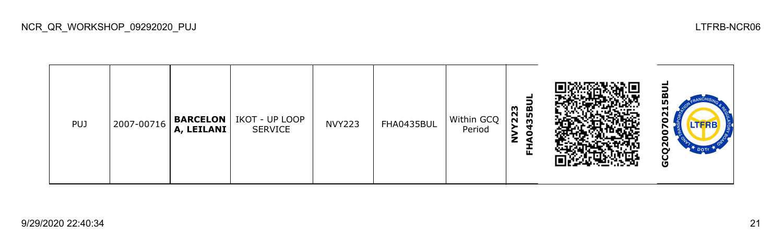| <b>PUJ</b> | 2007-00716 | A, LEILANI | <b>BARCELON</b>   IKOT - UP LOOP<br><b>SERVICE</b> | <b>NVY223</b> | FHA0435BUL | Within GCQ<br>Period | 35BI<br>223<br>c<br>正 |  | ┙<br>œ<br>m<br>−<br>о<br>Ñ<br>DOTE<br>မ္ပ |
|------------|------------|------------|----------------------------------------------------|---------------|------------|----------------------|-----------------------|--|-------------------------------------------|
|------------|------------|------------|----------------------------------------------------|---------------|------------|----------------------|-----------------------|--|-------------------------------------------|

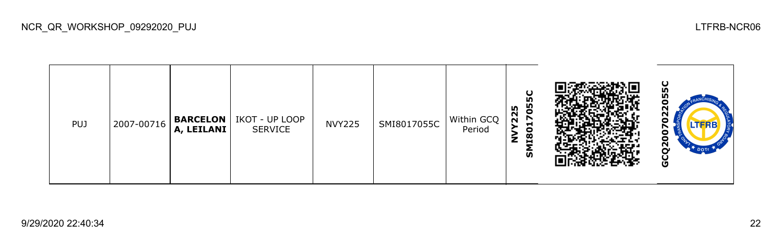| <b>PUJ</b> | 2007-00716 | <b>BARCELON</b><br>A, LEILANI | IKOT - UP LOOP<br><b>SERVICE</b> | <b>NVY225</b> | SMI8017055C | Within GCQ<br>Period | Ю<br>မ္မ<br>m<br>N<br>N<br>−<br>o<br>œ<br>н<br><b>S</b> |  | ပ္ပ<br>L٥<br>8<br><b>LTFRB</b><br>c<br>c<br>ည္ႀ<br>DOTE<br>U<br>G |
|------------|------------|-------------------------------|----------------------------------|---------------|-------------|----------------------|---------------------------------------------------------|--|-------------------------------------------------------------------|
|------------|------------|-------------------------------|----------------------------------|---------------|-------------|----------------------|---------------------------------------------------------|--|-------------------------------------------------------------------|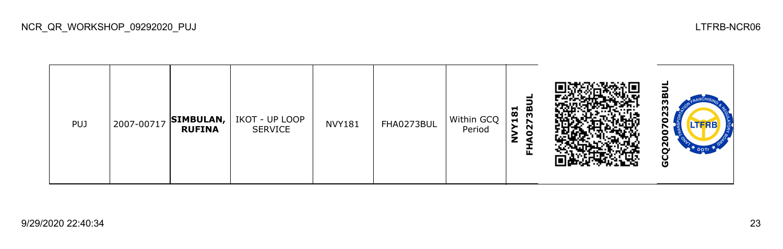| <b>PUJ</b> | 2007-00717 | SIMBULAN,<br><b>RUFINA</b> | IKOT - UP LOOP<br>SERVICE | <b>NVY181</b> | FHA0273BUL | Within GCQ<br>Period | 73BI<br>181<br>N<br>$\bullet$<br>z<br>₫<br>囸 |  | -<br>ო<br>m<br>Ν<br>n<br>LTERE<br>о<br>о<br>$\bar{\mathbf{S}}$<br>$\mathbb{R}^+$ DOTI<br>မ္ပ |
|------------|------------|----------------------------|---------------------------|---------------|------------|----------------------|----------------------------------------------|--|----------------------------------------------------------------------------------------------|
|------------|------------|----------------------------|---------------------------|---------------|------------|----------------------|----------------------------------------------|--|----------------------------------------------------------------------------------------------|

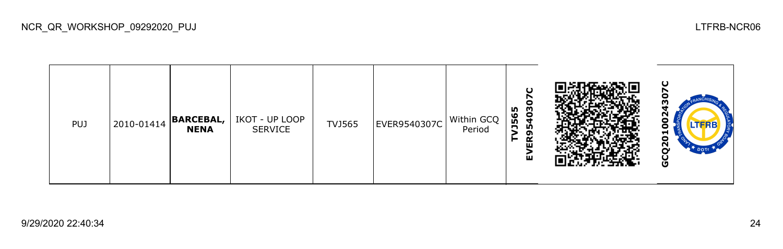

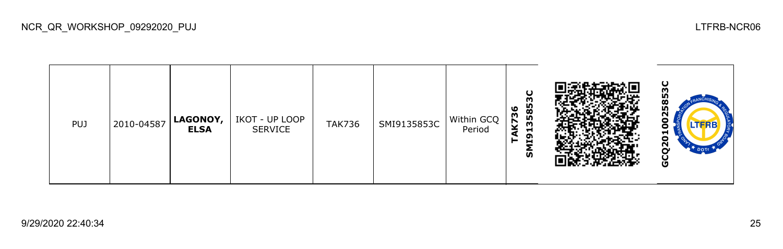| puj | 2010-04587 | LAGONOY,<br><b>ELSA</b> | IKOT - UP LOOP<br><b>SERVICE</b> | <b>TAK736</b> | SMI9135853C | Within GCQ<br>Period | ಀ<br>73<br>► | ပ<br>m<br>585<br>m<br>−<br>GI)<br>ົທ | ပ<br>m<br>2585<br>۰<br>o<br>ដ<br>ဥ္<br>$\bullet$ <sup>+</sup> DOTT<br>u<br>O |  |
|-----|------------|-------------------------|----------------------------------|---------------|-------------|----------------------|--------------|--------------------------------------|------------------------------------------------------------------------------|--|
|     |            |                         |                                  |               |             |                      |              |                                      |                                                                              |  |

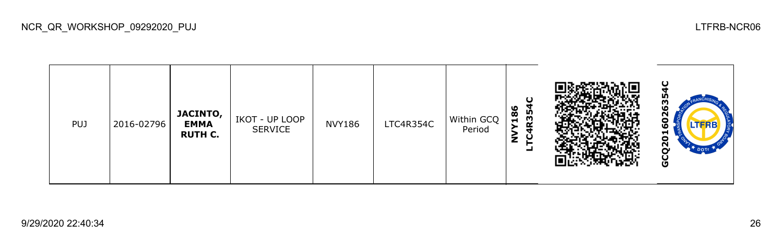

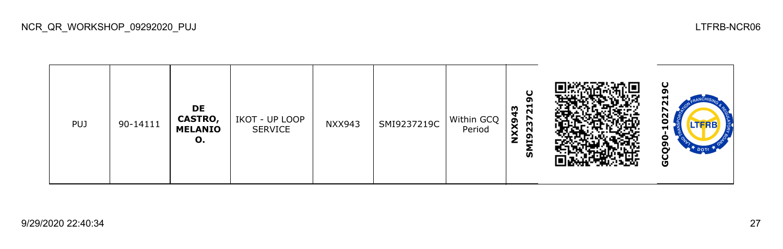

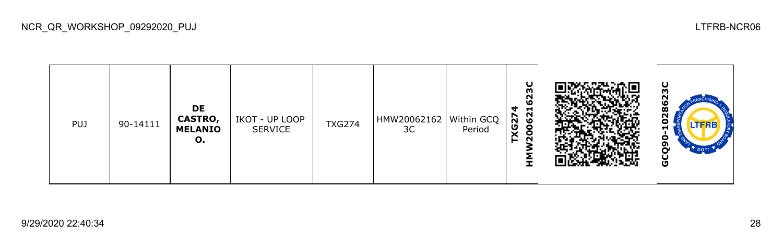

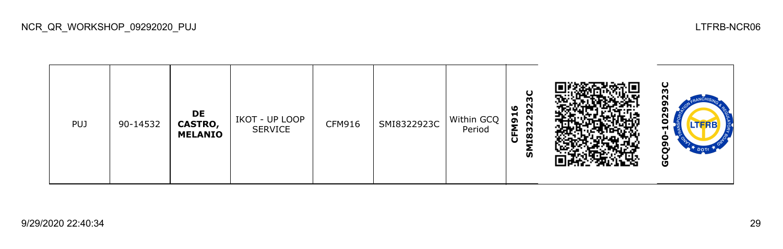

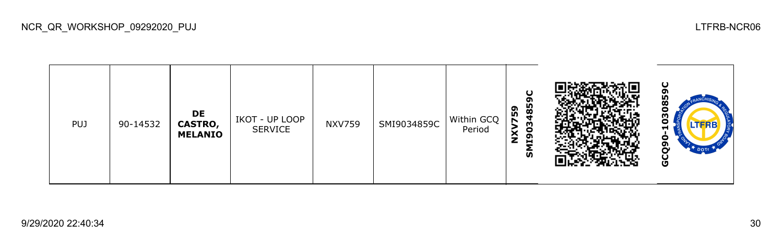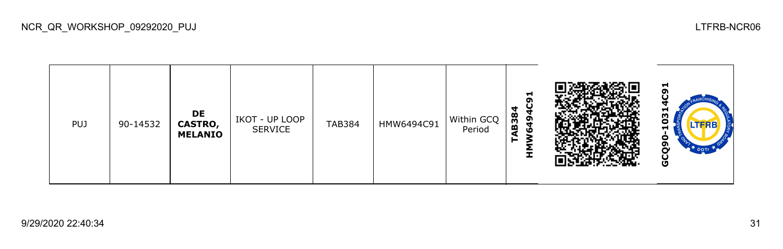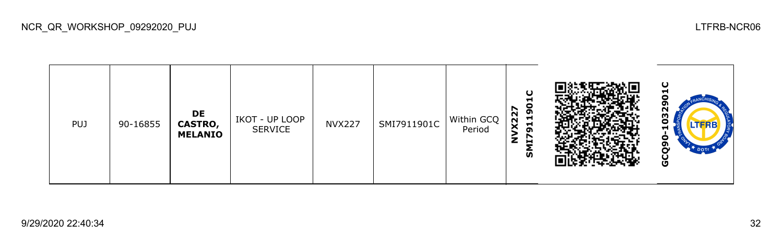

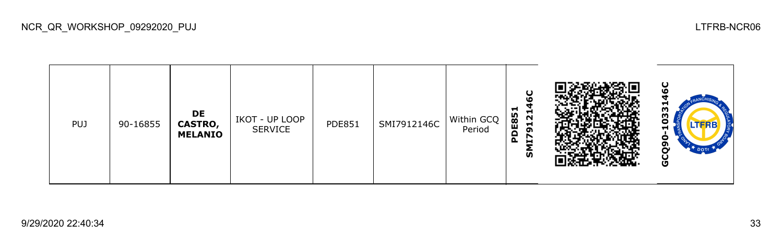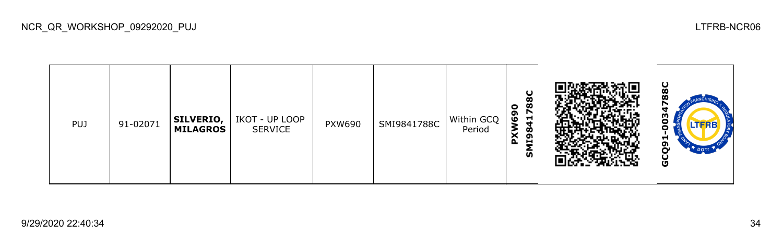| <b>PUJ</b> | 91-02071 | <b>SILVERIO,</b><br><b>MILAGROS</b> | IKOT - UP LOOP<br><b>SERVICE</b> | <b>PXW690</b> | SMI9841788C | Within GCQ<br>Period | œ<br>œ<br>o<br>r<br>ຸດ<br>ဖ<br>−<br>$\infty$<br>w<br>ຸດ<br>$\tilde{\mathbf{a}}$<br>н<br>ົທ |  | ပ<br>œ<br>ო<br>o<br>o<br>Н<br>໑<br>r<br>မ္ပ |
|------------|----------|-------------------------------------|----------------------------------|---------------|-------------|----------------------|--------------------------------------------------------------------------------------------|--|---------------------------------------------|
|------------|----------|-------------------------------------|----------------------------------|---------------|-------------|----------------------|--------------------------------------------------------------------------------------------|--|---------------------------------------------|

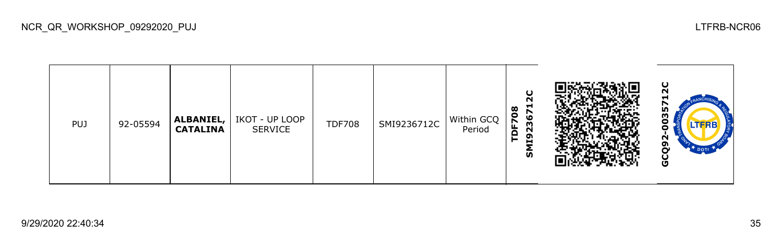

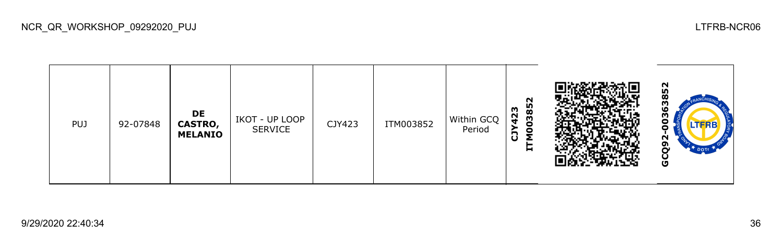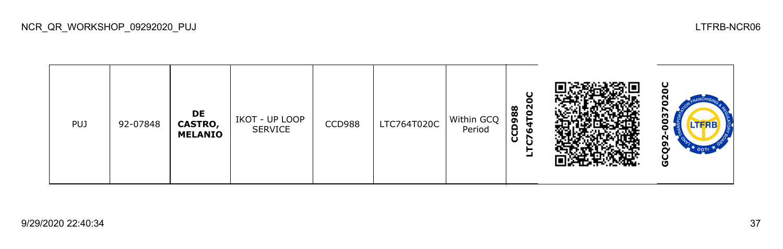

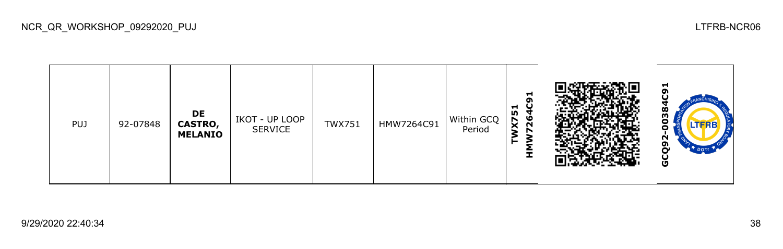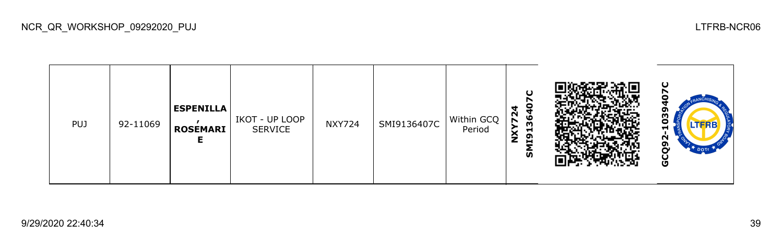

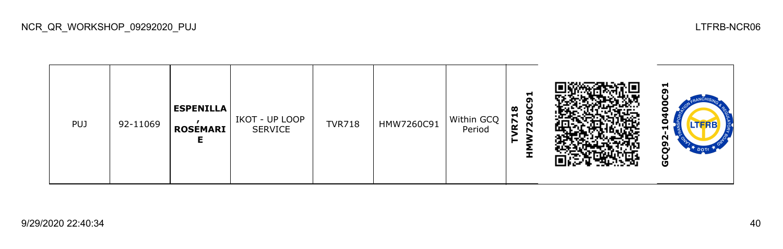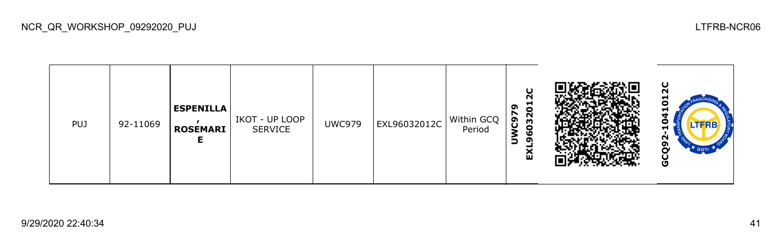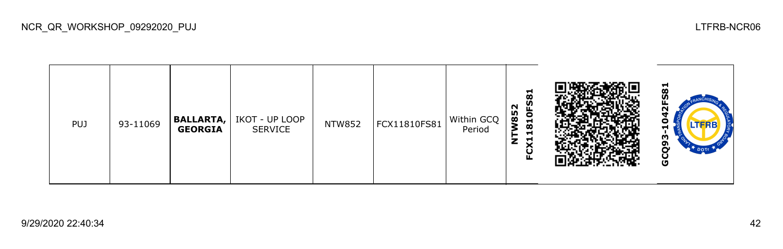| œ<br>N<br>85<br>$\bullet$<br>Within GCQ<br><b>BALLARTA,   IKOT - UP LOOP</b><br>Н<br>FCX11810FS81<br><b>NTW852</b><br>PUJ<br>93-11069<br>ထ<br><b>GEORGIA</b><br>Period<br>SERVICE | −<br>œ<br>-<br>ပ |
|-----------------------------------------------------------------------------------------------------------------------------------------------------------------------------------|------------------|
|-----------------------------------------------------------------------------------------------------------------------------------------------------------------------------------|------------------|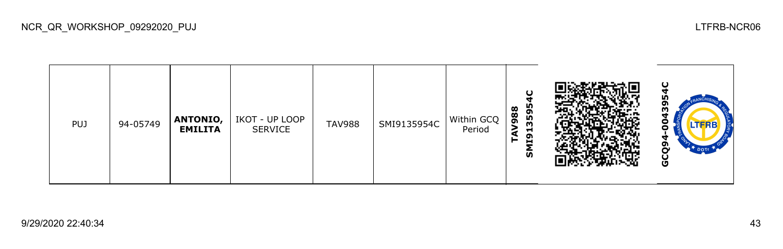| <b>PUJ</b> | 94-05749 | <b>ANTONIO,</b><br><b>EMILITA</b> | IKOT - UP LOOP<br><b>SERVICE</b> | <b>TAV988</b> | SMI9135954C | Within GCQ<br>Period | С<br>595<br>$\infty$<br>$\infty$<br>ີ<br>m<br>−<br>ຶ<br>Н<br>ົທ |  | ပ<br>מו<br>σ<br>m<br>Θ<br>ο<br>ຫ<br>Ο<br>DOTT<br>မိ |
|------------|----------|-----------------------------------|----------------------------------|---------------|-------------|----------------------|-----------------------------------------------------------------|--|-----------------------------------------------------|
|------------|----------|-----------------------------------|----------------------------------|---------------|-------------|----------------------|-----------------------------------------------------------------|--|-----------------------------------------------------|

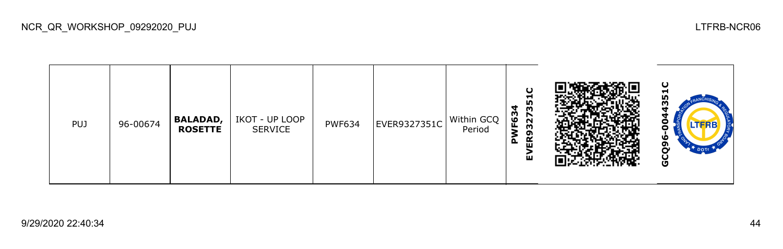

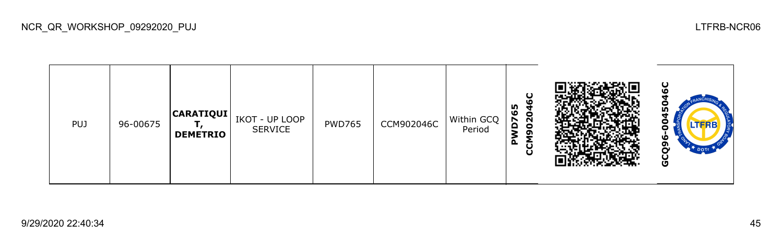



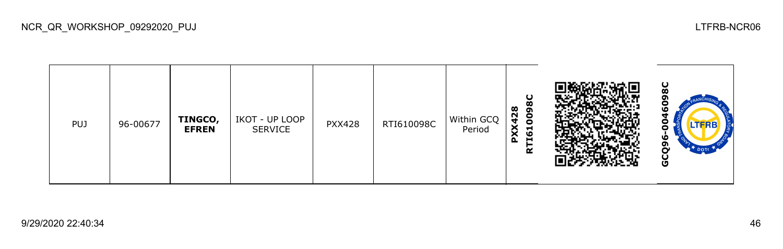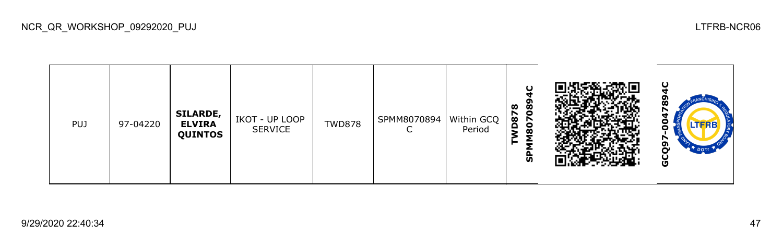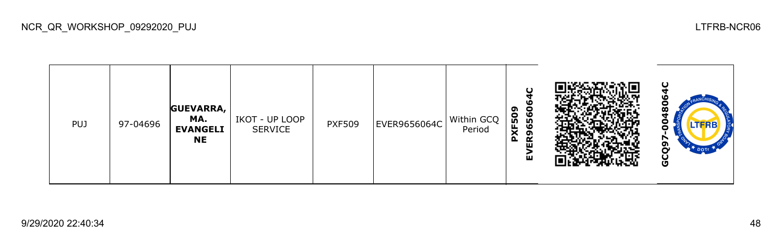

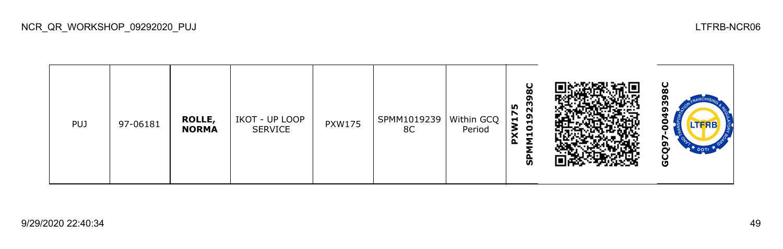| <b>PUJ</b> | 97-06181 | ROLLE,<br><b>NORMA</b> | IKOT - UP LOOP<br>SERVICE | <b>PXW175</b> | SPMM1019239<br>8C | Within GCQ<br>Period | 8C<br>σ<br>m<br><b>In</b><br>N<br>໑<br>⊣<br>$\blacksquare$<br>0<br>×<br>⊣<br>o<br><b>S</b> |  | ပ<br>œ<br>т<br>o<br>o<br>ດາ<br>$\alpha$<br>DOT<br>ပ<br>Ū |
|------------|----------|------------------------|---------------------------|---------------|-------------------|----------------------|--------------------------------------------------------------------------------------------|--|----------------------------------------------------------|
|------------|----------|------------------------|---------------------------|---------------|-------------------|----------------------|--------------------------------------------------------------------------------------------|--|----------------------------------------------------------|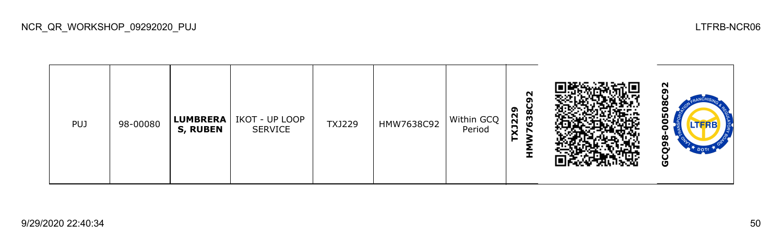| <b>PUJ</b> | 98-00080 | <b>LUMBRERA</b><br><b>S, RUBEN</b> | IKOT - UP LOOP<br><b>SERVICE</b> | TXJ229 | HMW7638C92 | Within GCQ<br>Period | N<br>ດາ<br>ᡡ<br>Ŏ<br>N<br>Ğ,<br>XJ2<br>↖<br>►<br>I |  | N<br>œ<br>о<br>m<br>o<br><b>LTFRB</b><br>o<br>Ò<br>ຫ<br>ū |
|------------|----------|------------------------------------|----------------------------------|--------|------------|----------------------|----------------------------------------------------|--|-----------------------------------------------------------|
|------------|----------|------------------------------------|----------------------------------|--------|------------|----------------------|----------------------------------------------------|--|-----------------------------------------------------------|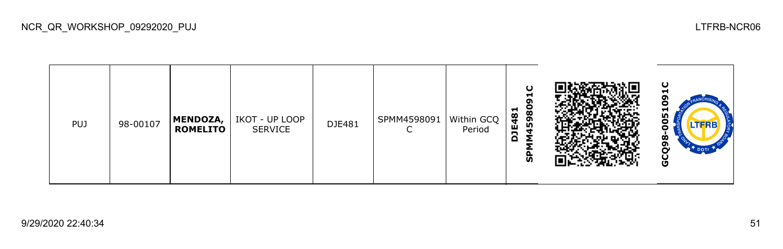| <b>PUJ</b> | 98-00107 | MENDOZA,<br><b>ROMELITO</b> | IKOT - UP LOOP<br><b>SERVICE</b> | DJE481 | SPMM4598091 | Within GCQ<br>Period | $\cup$<br>−<br>σ<br>8<br>$\overline{8}$<br>59<br>$\ddot{a}$<br>n<br>↽<br>င္ဟ |  | ပ<br>с<br>051<br>о<br>ထ<br>ຓ<br>~<br>$\tau$ DOTT<br>Ğ |
|------------|----------|-----------------------------|----------------------------------|--------|-------------|----------------------|------------------------------------------------------------------------------|--|-------------------------------------------------------|
|------------|----------|-----------------------------|----------------------------------|--------|-------------|----------------------|------------------------------------------------------------------------------|--|-------------------------------------------------------|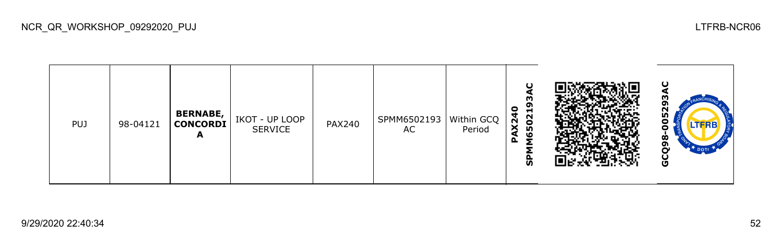

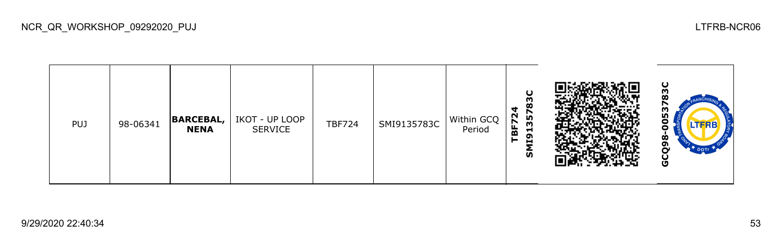

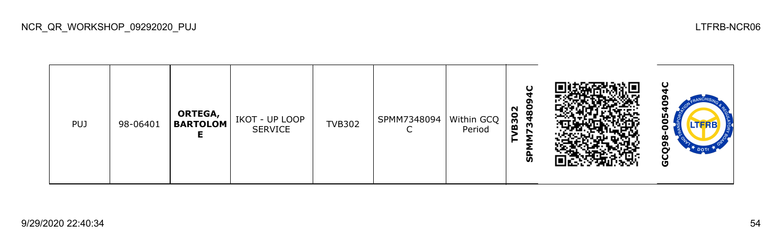| <b>PUJ</b> | 98-06401 | ORTEGA,<br><b>BARTOLOM</b> | IKOT - UP LOOP<br><b>SERVICE</b> | <b>TVB302</b> | SPMM7348094 | Within GCQ<br>Period | С<br>3480<br>N<br><b>B30</b><br>င္ဟ |  | ω<br>m<br>ൎ<br>DOTT<br>Ū |
|------------|----------|----------------------------|----------------------------------|---------------|-------------|----------------------|-------------------------------------|--|--------------------------|
|------------|----------|----------------------------|----------------------------------|---------------|-------------|----------------------|-------------------------------------|--|--------------------------|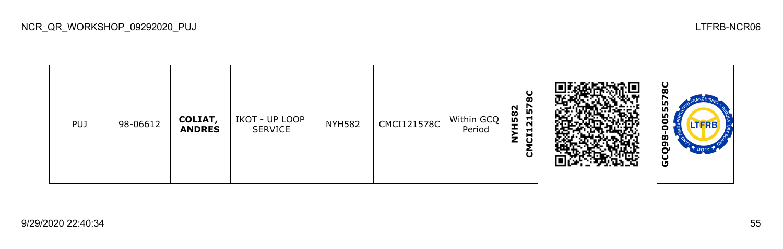